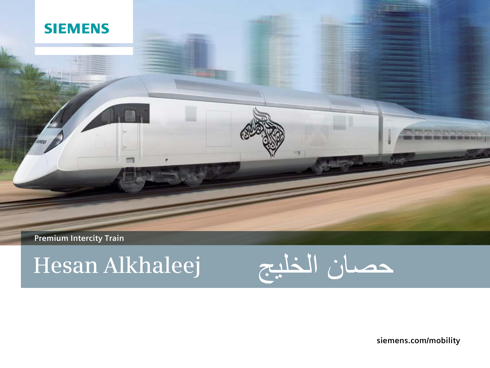# **SIEMENS**

**Premium Intercity Train** 

# **Hesan Alkhaleej**

▬

×



**siemens.com/mobility**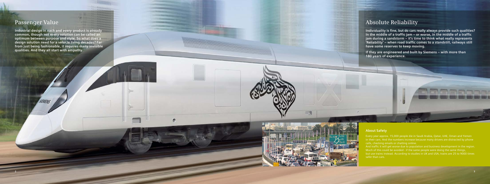# **Passenger Value**

**Industrial design in each and every product is already common, though not every solution can be called an optimum between purpose and style. So what does a design solution need for a vehicle living decades? Far from just being fashionable, it requires many invisible qualities. And they all start with empathy.**

# **Absolute Reliability**

**Individuality is fine, but do cars really always provide such qualities? In the middle of a traffic jam – or worse, in the middle of a traffic jam during a sandstorm – it's time to think what really represents 'Reliability' – when road traffic comes to a standstill, railways still have some reserves to keep moving.** 

**If they are engineered and built by Siemens – with more than 180 years of experience.**



## **About Safety**

Every year approx. 15,000 people die in Saudi Arabia, Qatar, UAE, Oman and Yemen calls, checking emails or chatting online.

And traffic it will get worse due to population and business development in the region. Much of this could be avoided - if the same people were doing the same things, but use trains instead. According to studies in UK and USA, trains are 25 to 9000 times safer than cars.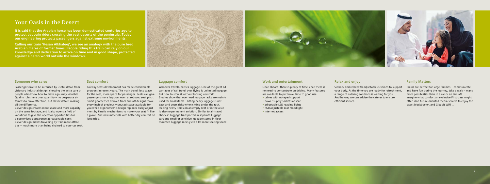#### **Someone who cares**

Passengers like to be surprised by useful detail from visionary industrial design, showing the extra care of people who know how to make a journey valuable. Quality rules here over quantity – no desperate attempts to draw attention, but clever details making all the difference.

Clever design creates more space and more capacity on the same footage, and it also opens a field of variations to give the operator opportunities for a customized appearance at reasonable costs. Clever design makes travelling by train more attractive – much more than being chained to your car seat.

#### **Seat comfort**

Railway seats development has made considerable progress in recent years. The main trend: less space for the seat, more space for passenger. Seats can give passengers more legroom even at reduced seat pitch. Smart geometries derived from aircraft designs make every inch of previously unused space available for you while ergonometric design replaces bulky adjustment by kinetic mechanisms to make your seat fit like a glove. And new materials with better dry comfort on long trips.

Once aboard, there is plenty of time since there is no need to concentrate on driving. Many features are available to put travel time to good use • tables with notepad support • power supply sockets at seat • adjustable LED reading lights • RGB adjustable LED moodlight

#### **Luggage comfort**

Sit back and relax with adjustable cushions to support your body. At the time you are ready for refreshment a range of catering solutions is waiting for you. And before, we can advise the caterer to ensure efficient service.

Whoever travels, carries luggage. One of the great advantages of rail travel over flying is unlimited luggage. But how to stow it without loosing comfort? Studies show that overhead luggage racks are mainly used for small items – lifting heavy luggage is not easy and bears risks when sitting under the rack. Placing heavy items on an empty seat or in the aisle is also no permanent solution. Similar to air travel, check-in luggage transported in separate luggage cars and small or sensitive luggage stored in floor mounted luggage racks yield a lot more seating space.

#### **Work and entertainment**

- 
- 
- 
- Internet access

#### **Relax and enjoy**

### **Family Matters**

Trains are perfect for large families – communicate and have fun during the journey, take a walk – many more possibilities than in a car or an aircraft. Imagine what comfort an exclusive First class might offer. And future oriented media servers to enjoy the latest blockbuster, and Gigabit WiFi …

## **Your Oasis in the Desert**

**It is said that the Arabian horse has been domesticated centuries ago to protect bedouin riders crossing the vast deserts of the peninsula. Today, our engineering protects passengers against extreme environments.**

**Calling our train 'Hesan Alkhaleej', we see an analogy with the pure bred Arabian mares of former times. People riding this train can rely on our knowledge and dedication to arrive on time and in good shape, protected against a harsh world outside the windows.**



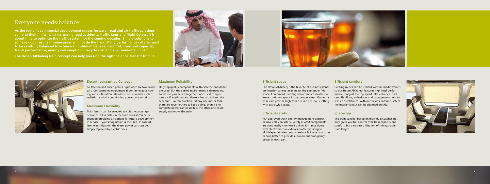# **Everyone needs balance**

**As the region's commercial development moves forward, road and air traffic solutions come to their limits, with increasing road accidents, traffic jams and flight delays. It is about time to optimize the traffic system for the coming decades. Simple solutions to achieve good results in some areas will not do the trick. Many performance criteria need to be carefully balanced to achieve an optimum between comfort, transport capacity, travel performance, energy consumption, lifecycle cost and environmental impact.**

**The Hesan Alkhaleej train concept can help you find the right balance. Benefit from it.**





#### **Desert resistant by Concept**

cars. Concentrated equipment allows innovative cooling and air filtration. Stainless steel minimizes solar radiation and air conditioning power consumption.

#### **Maximum Flexibility**

Train length can be selected to suit the passenger demands, all vehicles in the train consist can be exchanged providing all options for future development in service – your imagination is the limit. In case of later electrification, the diesel power cars can be simply replaced by electric ones.

All traction and coach power is provided by two power Only top quality components with extreme endurance are used. But the desert environment is demanding, so we use parallel arrangement of critical components – if anything fails, there is backup to keep the schedule. Like the traction – if any one motor fails, there are seven others to keep going. Even if one complete power car would fail, the other one could supply and move the train.

#### **Maximum Reliability**

#### **Efficient space**

The Hesan Alkhaleej is the favorite of business plans: our interior concept maximizes the passenger floorspace. Equipment is arranged in compact clusters to leave maximum space for passenger areas. Our extra wide cars provide high capacity in a luxurious setting

with extra wide seats.

#### **Efficient safety**

FRA approved crash energy management ensures passive collision safety. Safety related components are continually monitored online. Entrance doors with electromechanic drives protect passengers. Multi-layer vehicle controls feature fail safe structures. Backup batteries provide autonomous emergency power in each car.

## **Efficient comfort**

Existing routes can be utilized without modifications, so our Hesan Alkhaleej features high total performance, not just the top speed. Flat entrance in all cars, flat floor, wide doors and passageways help to reduce dwell times. With our flexible interior system, the interior layout can be changed quickly.

#### **Spaceship**

The train concept based on individual coaches not only gives you full control over train capacity and comfort, but also best utilization of the available train length.